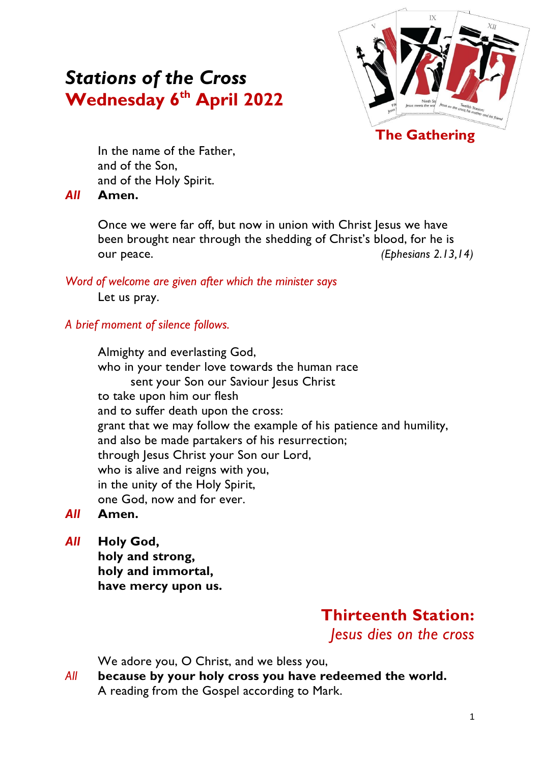# *Stations of the Cross* **Wednesday 6 th April 2022**



In the name of the Father, and of the Son, and of the Holy Spirit.

#### *All* **Amen.**

Once we were far off, but now in union with Christ Jesus we have been brought near through the shedding of Christ's blood, for he is our peace. *(Ephesians 2.13,14)*

*Word of welcome are given after which the minister says*

Let us pray.

#### *A brief moment of silence follows.*

Almighty and everlasting God, who in your tender love towards the human race sent your Son our Saviour Jesus Christ to take upon him our flesh and to suffer death upon the cross: grant that we may follow the example of his patience and humility, and also be made partakers of his resurrection; through Jesus Christ your Son our Lord, who is alive and reigns with you, in the unity of the Holy Spirit, one God, now and for ever.

- *All* **Amen.**
- *All* **Holy God, holy and strong, holy and immortal, have mercy upon us.**

**Thirteenth Station:**  *Jesus dies on the cross*

We adore you, O Christ, and we bless you,

*All* **because by your holy cross you have redeemed the world.** A reading from the Gospel according to Mark.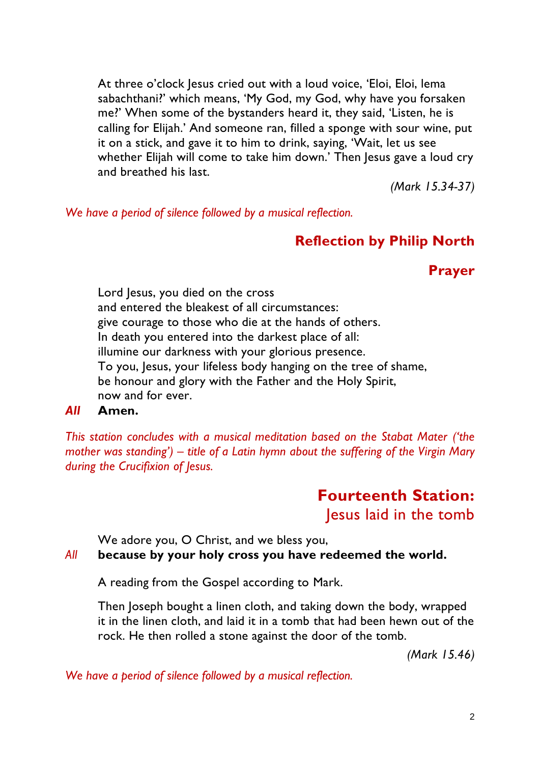At three o'clock Jesus cried out with a loud voice, 'Eloi, Eloi, lema sabachthani?' which means, 'My God, my God, why have you forsaken me?' When some of the bystanders heard it, they said, 'Listen, he is calling for Elijah.' And someone ran, filled a sponge with sour wine, put it on a stick, and gave it to him to drink, saying, 'Wait, let us see whether Elijah will come to take him down.' Then Jesus gave a loud cry and breathed his last.

*(Mark 15.34-37)*

*We have a period of silence followed by a musical reflection.*

## **Reflection by Philip North**

### **Prayer**

Lord Jesus, you died on the cross and entered the bleakest of all circumstances: give courage to those who die at the hands of others. In death you entered into the darkest place of all: illumine our darkness with your glorious presence. To you, Jesus, your lifeless body hanging on the tree of shame, be honour and glory with the Father and the Holy Spirit, now and for ever.

#### *All* **Amen.**

*This station concludes with a musical meditation based on the Stabat Mater ('the mother was standing') – title of a Latin hymn about the suffering of the Virgin Mary during the Crucifixion of Jesus.*

> **Fourteenth Station:**  Jesus laid in the tomb

We adore you, O Christ, and we bless you, *All* **because by your holy cross you have redeemed the world.**

A reading from the Gospel according to Mark.

Then Joseph bought a linen cloth, and taking down the body, wrapped it in the linen cloth, and laid it in a tomb that had been hewn out of the rock. He then rolled a stone against the door of the tomb.

*(Mark 15.46)*

*We have a period of silence followed by a musical reflection.*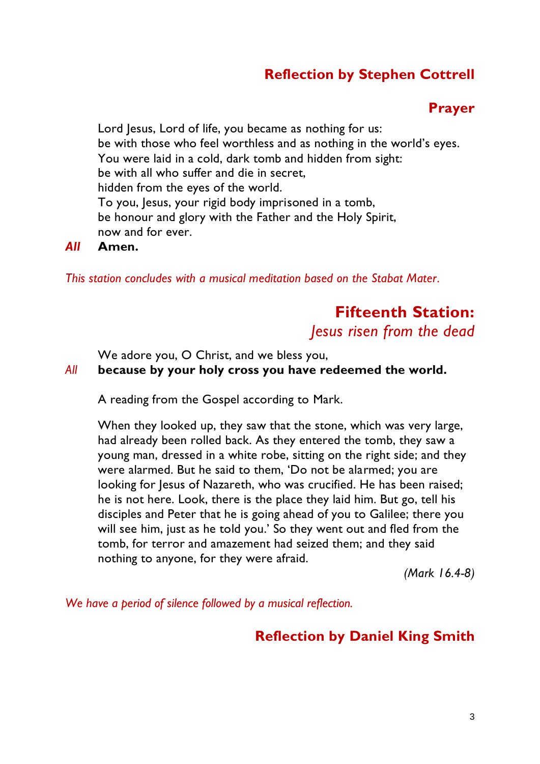## **Reflection by Stephen Cottrell**

## **Prayer**

Lord Jesus, Lord of life, you became as nothing for us: be with those who feel worthless and as nothing in the world's eyes. You were laid in a cold, dark tomb and hidden from sight: be with all who suffer and die in secret, hidden from the eyes of the world. To you, Jesus, your rigid body imprisoned in a tomb, be honour and glory with the Father and the Holy Spirit, now and for ever.

#### *All* **Amen.**

*This station concludes with a musical meditation based on the Stabat Mater.*

## **Fifteenth Station:**  *Jesus risen from the dead*

We adore you, O Christ, and we bless you,

#### *All* **because by your holy cross you have redeemed the world.**

A reading from the Gospel according to Mark.

When they looked up, they saw that the stone, which was very large, had already been rolled back. As they entered the tomb, they saw a young man, dressed in a white robe, sitting on the right side; and they were alarmed. But he said to them, 'Do not be alarmed; you are looking for Jesus of Nazareth, who was crucified. He has been raised; he is not here. Look, there is the place they laid him. But go, tell his disciples and Peter that he is going ahead of you to Galilee; there you will see him, just as he told you.' So they went out and fled from the tomb, for terror and amazement had seized them; and they said nothing to anyone, for they were afraid.

*(Mark 16.4-8)*

*We have a period of silence followed by a musical reflection.*

### **Reflection by Daniel King Smith**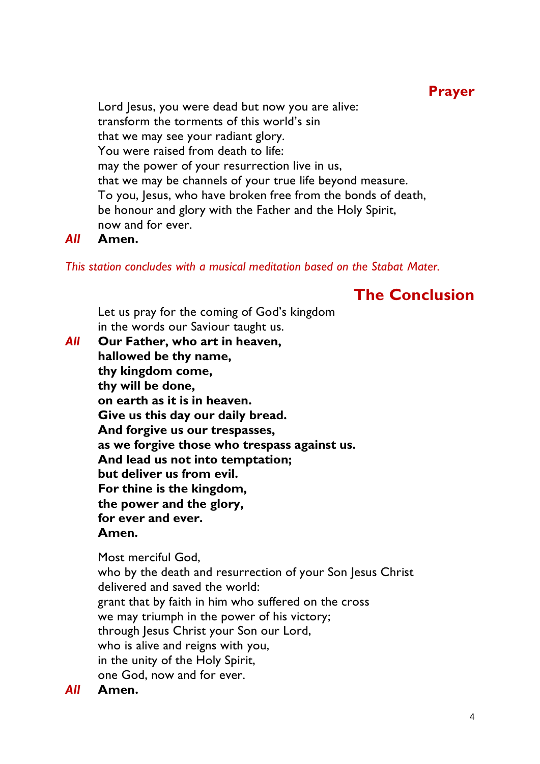## **Prayer**

Lord Jesus, you were dead but now you are alive: transform the torments of this world's sin that we may see your radiant glory. You were raised from death to life: may the power of your resurrection live in us, that we may be channels of your true life beyond measure. To you, Jesus, who have broken free from the bonds of death, be honour and glory with the Father and the Holy Spirit, now and for ever.

#### *All* **Amen.**

*This station concludes with a musical meditation based on the Stabat Mater.*

## **The Conclusion**

Let us pray for the coming of God's kingdom in the words our Saviour taught us.

*All* **Our Father, who art in heaven, hallowed be thy name, thy kingdom come, thy will be done, on earth as it is in heaven. Give us this day our daily bread. And forgive us our trespasses, as we forgive those who trespass against us. And lead us not into temptation; but deliver us from evil. For thine is the kingdom, the power and the glory, for ever and ever. Amen.** Most merciful God,

> who by the death and resurrection of your Son Jesus Christ delivered and saved the world: grant that by faith in him who suffered on the cross we may triumph in the power of his victory; through Jesus Christ your Son our Lord, who is alive and reigns with you, in the unity of the Holy Spirit, one God, now and for ever.

*All* **Amen.**